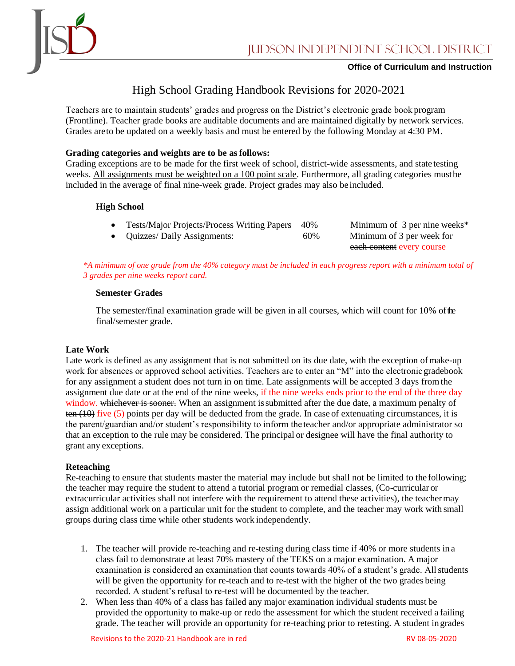

### **Office of Curriculum and Instruction**

# High School Grading Handbook Revisions for 2020-2021

Teachers are to maintain students' grades and progress on the District's electronic grade book program (Frontline). Teacher grade books are auditable documents and are maintained digitally by network services. Grades areto be updated on a weekly basis and must be entered by the following Monday at 4:30 PM.

## **Grading categories and weights are to be asfollows:**

Grading exceptions are to be made for the first week of school, district-wide assessments, and state testing weeks. All assignments must be weighted on a 100 point scale. Furthermore, all grading categories mustbe included in the average of final nine-week grade. Project grades may also be included.

## **High School**

- Tests/Major Projects/Process Writing Papers 40% Minimum of 3 per nine weeks\*
- Quizzes/ Daily Assignments: 60% Minimum of 3 per week for

each content every course

*\*A minimum of one grade from the 40% category must be included in each progress report with a minimum total of 3 grades per nine weeks report card.* 

### **Semester Grades**

The semester/final examination grade will be given in all courses, which will count for 10% of the final/semester grade.

### **Late Work**

Late work is defined as any assignment that is not submitted on its due date, with the exception ofmake-up work for absences or approved school activities. Teachers are to enter an "M" into the electronic gradebook for any assignment a student does not turn in on time. Late assignments will be accepted 3 days fromthe assignment due date or at the end of the nine weeks, if the nine weeks ends prior to the end of the three day window. whichever is sooner. When an assignment is submitted after the due date, a maximum penalty of ten (10) five (5) points per day will be deducted from the grade. In case of extenuating circumstances, it is the parent/guardian and/or student's responsibility to inform the teacher and/or appropriate administrator so that an exception to the rule may be considered. The principal or designee will have the final authority to grant any exceptions.

### **Reteaching**

Re-teaching to ensure that students master the material may include but shall not be limited to the following; the teacher may require the student to attend a tutorial program or remedial classes, (Co-curricular or extracurricular activities shall not interfere with the requirement to attend these activities), the teachermay assign additional work on a particular unit for the student to complete, and the teacher may work with small groups during class time while other students work independently.

- 1. The teacher will provide re-teaching and re-testing during class time if 40% or more students in a class fail to demonstrate at least 70% mastery of the TEKS on a major examination. A major examination is considered an examination that counts towards 40% of a student's grade. All students will be given the opportunity for re-teach and to re-test with the higher of the two grades being recorded. A student's refusal to re-test will be documented by the teacher.
- 2. When less than 40% of a class has failed any major examination individual students must be provided the opportunity to make-up or redo the assessment for which the student received a failing grade. The teacher will provide an opportunity for re-teaching prior to retesting. A student ingrades